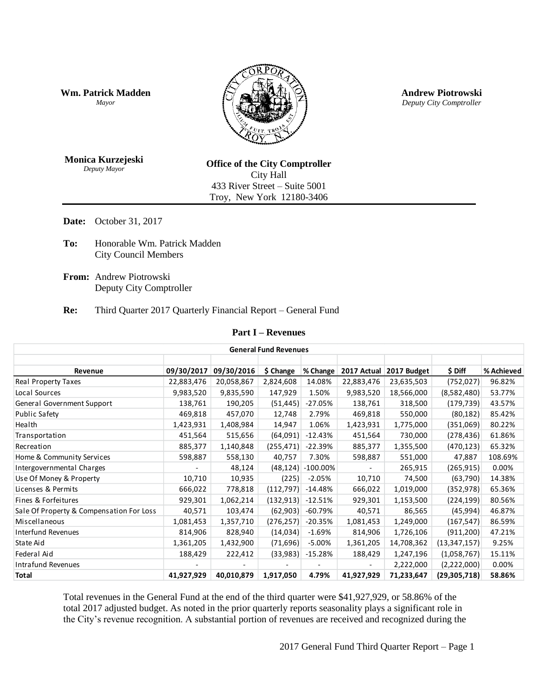**Wm. Patrick Madden** *Mayor*



**Andrew Piotrowski** *Deputy City Comptroller*

**Monica Kurzejeski** *Deputy Mayor*

**Office of the City Comptroller** City Hall 433 River Street – Suite 5001 Troy, New York 12180-3406

**Date:** October 31, 2017

- **To:** Honorable Wm. Patrick Madden City Council Members
- **From:** Andrew Piotrowski Deputy City Comptroller

#### **Re:** Third Quarter 2017 Quarterly Financial Report – General Fund

#### **Part I – Revenues**

| <b>General Fund Revenues</b>             |            |            |            |             |                          |             |                |            |  |
|------------------------------------------|------------|------------|------------|-------------|--------------------------|-------------|----------------|------------|--|
|                                          |            |            |            |             |                          |             |                |            |  |
| Revenue                                  | 09/30/2017 | 09/30/2016 | \$ Change  | % Change    | 2017 Actual              | 2017 Budget | \$ Diff        | % Achieved |  |
| Real Property Taxes                      | 22,883,476 | 20,058,867 | 2,824,608  | 14.08%      | 22,883,476               | 23,635,503  | (752, 027)     | 96.82%     |  |
| Local Sources                            | 9,983,520  | 9,835,590  | 147,929    | 1.50%       | 9,983,520                | 18,566,000  | (8,582,480)    | 53.77%     |  |
| General Government Support               | 138,761    | 190,205    | (51, 445)  | $-27.05%$   | 138,761                  | 318,500     | (179, 739)     | 43.57%     |  |
| <b>Public Safety</b>                     | 469,818    | 457,070    | 12,748     | 2.79%       | 469,818                  | 550,000     | (80, 182)      | 85.42%     |  |
| Health                                   | 1,423,931  | 1,408,984  | 14,947     | 1.06%       | 1,423,931                | 1,775,000   | (351,069)      | 80.22%     |  |
| Transportation                           | 451,564    | 515,656    | (64,091)   | $-12.43%$   | 451,564                  | 730,000     | (278, 436)     | 61.86%     |  |
| Recreation                               | 885,377    | 1,140,848  | (255, 471) | $-22.39%$   | 885,377                  | 1,355,500   | (470, 123)     | 65.32%     |  |
| Home & Community Services                | 598,887    | 558,130    | 40,757     | 7.30%       | 598,887                  | 551,000     | 47,887         | 108.69%    |  |
| Intergovernmental Charges                |            | 48,124     | (48, 124)  | $-100.00\%$ | $\overline{\phantom{a}}$ | 265,915     | (265, 915)     | 0.00%      |  |
| Use Of Money & Property                  | 10,710     | 10,935     | (225)      | $-2.05%$    | 10,710                   | 74,500      | (63, 790)      | 14.38%     |  |
| Licenses & Permits                       | 666,022    | 778,818    | (112, 797) | $-14.48%$   | 666,022                  | 1,019,000   | (352, 978)     | 65.36%     |  |
| Fines & Forfeitures                      | 929,301    | 1,062,214  | (132, 913) | $-12.51%$   | 929,301                  | 1,153,500   | (224, 199)     | 80.56%     |  |
| Sale Of Property & Compensation For Loss | 40,571     | 103,474    | (62, 903)  | $-60.79\%$  | 40,571                   | 86,565      | (45, 994)      | 46.87%     |  |
| Miscellaneous                            | 1,081,453  | 1,357,710  | (276, 257) | $-20.35%$   | 1,081,453                | 1,249,000   | (167, 547)     | 86.59%     |  |
| Interfund Revenues                       | 814,906    | 828,940    | (14, 034)  | $-1.69%$    | 814,906                  | 1,726,106   | (911, 200)     | 47.21%     |  |
| State Aid                                | 1,361,205  | 1,432,900  | (71,696)   | -5.00%      | 1,361,205                | 14,708,362  | (13, 347, 157) | 9.25%      |  |
| Federal Aid                              | 188,429    | 222,412    | (33,983)   | $-15.28%$   | 188,429                  | 1,247,196   | (1,058,767)    | 15.11%     |  |
| <b>Intrafund Revenues</b>                |            |            |            |             | $\overline{\phantom{a}}$ | 2,222,000   | (2,222,000)    | 0.00%      |  |
| <b>Total</b>                             | 41,927,929 | 40,010,879 | 1,917,050  | 4.79%       | 41,927,929               | 71,233,647  | (29,305,718)   | 58.86%     |  |

Total revenues in the General Fund at the end of the third quarter were \$41,927,929, or 58.86% of the total 2017 adjusted budget. As noted in the prior quarterly reports seasonality plays a significant role in the City's revenue recognition. A substantial portion of revenues are received and recognized during the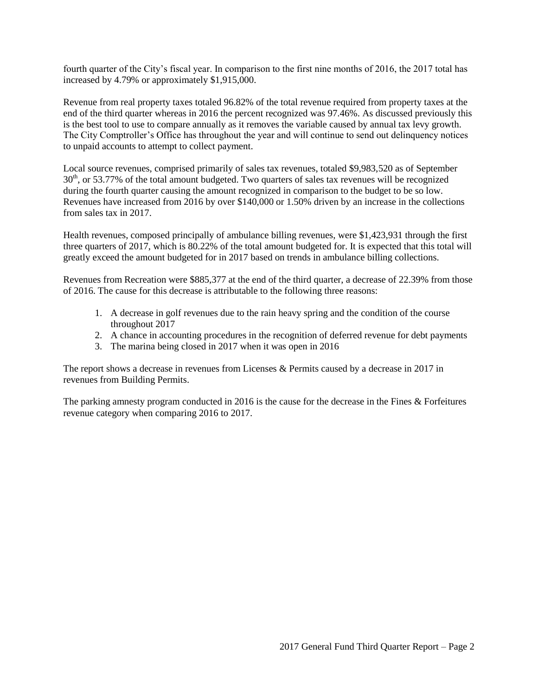fourth quarter of the City's fiscal year. In comparison to the first nine months of 2016, the 2017 total has increased by 4.79% or approximately \$1,915,000.

Revenue from real property taxes totaled 96.82% of the total revenue required from property taxes at the end of the third quarter whereas in 2016 the percent recognized was 97.46%. As discussed previously this is the best tool to use to compare annually as it removes the variable caused by annual tax levy growth. The City Comptroller's Office has throughout the year and will continue to send out delinquency notices to unpaid accounts to attempt to collect payment.

Local source revenues, comprised primarily of sales tax revenues, totaled \$9,983,520 as of September 30<sup>th</sup>, or 53.77% of the total amount budgeted. Two quarters of sales tax revenues will be recognized during the fourth quarter causing the amount recognized in comparison to the budget to be so low. Revenues have increased from 2016 by over \$140,000 or 1.50% driven by an increase in the collections from sales tax in 2017.

Health revenues, composed principally of ambulance billing revenues, were \$1,423,931 through the first three quarters of 2017, which is 80.22% of the total amount budgeted for. It is expected that this total will greatly exceed the amount budgeted for in 2017 based on trends in ambulance billing collections.

Revenues from Recreation were \$885,377 at the end of the third quarter, a decrease of 22.39% from those of 2016. The cause for this decrease is attributable to the following three reasons:

- 1. A decrease in golf revenues due to the rain heavy spring and the condition of the course throughout 2017
- 2. A chance in accounting procedures in the recognition of deferred revenue for debt payments
- 3. The marina being closed in 2017 when it was open in 2016

The report shows a decrease in revenues from Licenses & Permits caused by a decrease in 2017 in revenues from Building Permits.

The parking amnesty program conducted in 2016 is the cause for the decrease in the Fines & Forfeitures revenue category when comparing 2016 to 2017.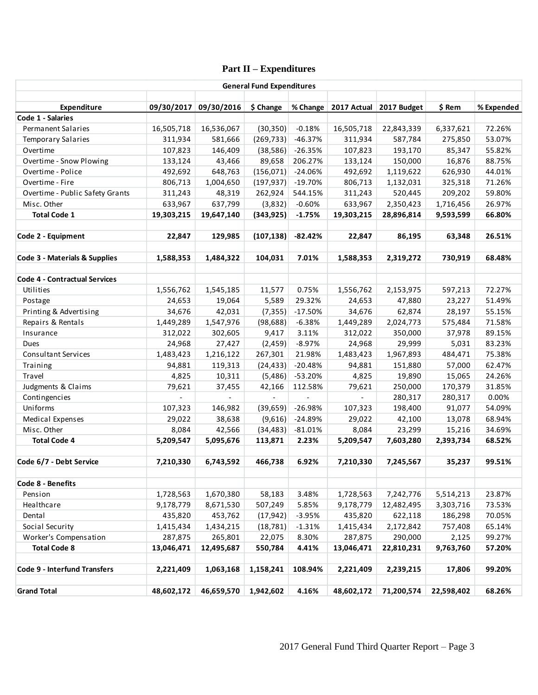# **Part II – Expenditures**

| <b>General Fund Expenditures</b>     |            |                       |            |           |             |             |            |            |
|--------------------------------------|------------|-----------------------|------------|-----------|-------------|-------------|------------|------------|
| Expenditure                          |            | 09/30/2017 09/30/2016 | \$ Change  | % Change  | 2017 Actual | 2017 Budget | \$ Rem     | % Expended |
| Code 1 - Salaries                    |            |                       |            |           |             |             |            |            |
| <b>Permanent Salaries</b>            | 16,505,718 | 16,536,067            | (30, 350)  | $-0.18%$  | 16,505,718  | 22,843,339  | 6,337,621  | 72.26%     |
| <b>Temporary Salaries</b>            | 311,934    | 581,666               | (269, 733) | $-46.37%$ | 311,934     | 587,784     | 275,850    | 53.07%     |
| Overtime                             | 107,823    | 146,409               | (38, 586)  | $-26.35%$ | 107,823     | 193,170     | 85,347     | 55.82%     |
| Overtime - Snow Plowing              | 133,124    | 43,466                | 89,658     | 206.27%   | 133,124     | 150,000     | 16,876     | 88.75%     |
| Overtime - Police                    | 492,692    | 648,763               | (156, 071) | -24.06%   | 492,692     | 1,119,622   | 626,930    | 44.01%     |
| Overtime - Fire                      | 806,713    | 1,004,650             | (197, 937) | -19.70%   | 806,713     | 1,132,031   | 325,318    | 71.26%     |
| Overtime - Public Safety Grants      | 311,243    | 48,319                | 262,924    | 544.15%   | 311,243     | 520,445     | 209,202    | 59.80%     |
| Misc. Other                          | 633,967    | 637,799               | (3,832)    | $-0.60%$  | 633,967     | 2,350,423   | 1,716,456  | 26.97%     |
| <b>Total Code 1</b>                  | 19,303,215 | 19,647,140            | (343, 925) | $-1.75%$  | 19,303,215  | 28,896,814  | 9,593,599  | 66.80%     |
| Code 2 - Equipment                   | 22,847     | 129,985               | (107, 138) | -82.42%   | 22,847      | 86,195      | 63,348     | 26.51%     |
| Code 3 - Materials & Supplies        | 1,588,353  | 1,484,322             | 104,031    | 7.01%     | 1,588,353   | 2,319,272   | 730,919    | 68.48%     |
| <b>Code 4 - Contractual Services</b> |            |                       |            |           |             |             |            |            |
| Utilities                            | 1,556,762  | 1,545,185             | 11,577     | 0.75%     | 1,556,762   | 2,153,975   | 597,213    | 72.27%     |
| Postage                              | 24,653     | 19,064                | 5,589      | 29.32%    | 24,653      | 47,880      | 23,227     | 51.49%     |
| Printing & Advertising               | 34,676     | 42,031                | (7, 355)   | $-17.50%$ | 34,676      | 62,874      | 28,197     | 55.15%     |
| Repairs & Rentals                    | 1,449,289  | 1,547,976             | (98, 688)  | $-6.38%$  | 1,449,289   | 2,024,773   | 575,484    | 71.58%     |
| Insurance                            | 312,022    | 302,605               | 9,417      | 3.11%     | 312,022     | 350,000     | 37,978     | 89.15%     |
| Dues                                 | 24,968     | 27,427                | (2,459)    | $-8.97%$  | 24,968      | 29,999      | 5,031      | 83.23%     |
| <b>Consultant Services</b>           | 1,483,423  | 1,216,122             | 267,301    | 21.98%    | 1,483,423   | 1,967,893   | 484,471    | 75.38%     |
| Training                             | 94,881     | 119,313               | (24, 433)  | $-20.48%$ | 94,881      | 151,880     | 57,000     | 62.47%     |
| Travel                               | 4,825      | 10,311                | (5,486)    | -53.20%   | 4,825       | 19,890      | 15,065     | 24.26%     |
| Judgments & Claims                   | 79,621     | 37,455                | 42,166     | 112.58%   | 79,621      | 250,000     | 170,379    | 31.85%     |
| Contingencies                        |            | $\equiv$              |            |           | $\equiv$    | 280,317     | 280,317    | 0.00%      |
| Uniforms                             | 107,323    | 146,982               | (39, 659)  | $-26.98%$ | 107,323     | 198,400     | 91,077     | 54.09%     |
| Medical Expenses                     | 29,022     | 38,638                | (9,616)    | -24.89%   | 29,022      | 42,100      | 13,078     | 68.94%     |
| Misc. Other                          | 8,084      | 42,566                | (34, 483)  | $-81.01%$ | 8,084       | 23,299      | 15,216     | 34.69%     |
| <b>Total Code 4</b>                  | 5,209,547  | 5,095,676             | 113,871    | 2.23%     | 5,209,547   | 7,603,280   | 2,393,734  | 68.52%     |
| Code 6/7 - Debt Service              | 7,210,330  | 6,743,592             | 466,738    | 6.92%     | 7,210,330   | 7,245,567   | 35,237     | 99.51%     |
|                                      |            |                       |            |           |             |             |            |            |
| Code 8 - Benefits                    |            |                       |            |           |             |             |            |            |
| Pension                              | 1,728,563  | 1,670,380             | 58,183     | 3.48%     | 1,728,563   | 7,242,776   | 5,514,213  | 23.87%     |
| Healthcare                           | 9,178,779  | 8,671,530             | 507,249    | 5.85%     | 9,178,779   | 12,482,495  | 3,303,716  | 73.53%     |
| Dental                               | 435,820    | 453,762               | (17, 942)  | $-3.95%$  | 435,820     | 622,118     | 186,298    | 70.05%     |
| Social Security                      | 1,415,434  | 1,434,215             | (18, 781)  | $-1.31%$  | 1,415,434   | 2,172,842   | 757,408    | 65.14%     |
| Worker's Compensation                | 287,875    | 265,801               | 22,075     | 8.30%     | 287,875     | 290,000     | 2,125      | 99.27%     |
| <b>Total Code 8</b>                  | 13,046,471 | 12,495,687            | 550,784    | 4.41%     | 13,046,471  | 22,810,231  | 9,763,760  | 57.20%     |
| <b>Code 9 - Interfund Transfers</b>  | 2,221,409  | 1,063,168             | 1,158,241  | 108.94%   | 2,221,409   | 2,239,215   | 17,806     | 99.20%     |
|                                      |            |                       |            |           |             |             |            |            |
| <b>Grand Total</b>                   | 48,602,172 | 46,659,570            | 1,942,602  | 4.16%     | 48,602,172  | 71,200,574  | 22,598,402 | 68.26%     |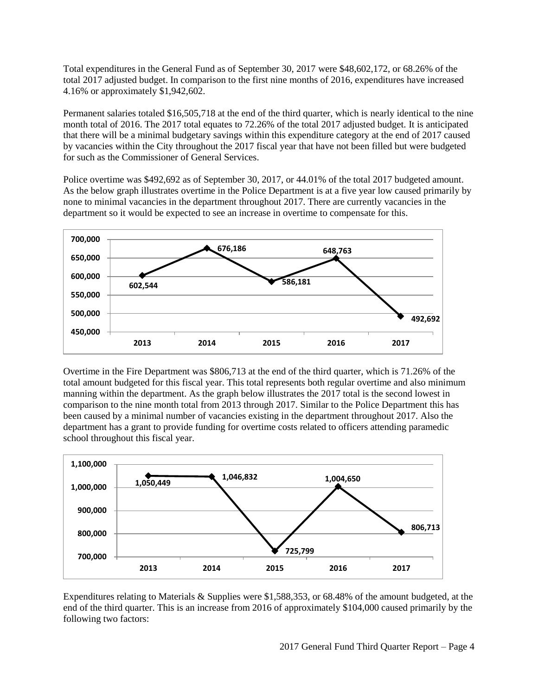Total expenditures in the General Fund as of September 30, 2017 were \$48,602,172, or 68.26% of the total 2017 adjusted budget. In comparison to the first nine months of 2016, expenditures have increased 4.16% or approximately \$1,942,602.

Permanent salaries totaled \$16,505,718 at the end of the third quarter, which is nearly identical to the nine month total of 2016. The 2017 total equates to 72.26% of the total 2017 adjusted budget. It is anticipated that there will be a minimal budgetary savings within this expenditure category at the end of 2017 caused by vacancies within the City throughout the 2017 fiscal year that have not been filled but were budgeted for such as the Commissioner of General Services.

Police overtime was \$492,692 as of September 30, 2017, or 44.01% of the total 2017 budgeted amount. As the below graph illustrates overtime in the Police Department is at a five year low caused primarily by none to minimal vacancies in the department throughout 2017. There are currently vacancies in the department so it would be expected to see an increase in overtime to compensate for this.



Overtime in the Fire Department was \$806,713 at the end of the third quarter, which is 71.26% of the total amount budgeted for this fiscal year. This total represents both regular overtime and also minimum manning within the department. As the graph below illustrates the 2017 total is the second lowest in comparison to the nine month total from 2013 through 2017. Similar to the Police Department this has been caused by a minimal number of vacancies existing in the department throughout 2017. Also the department has a grant to provide funding for overtime costs related to officers attending paramedic school throughout this fiscal year.



Expenditures relating to Materials & Supplies were \$1,588,353, or 68.48% of the amount budgeted, at the end of the third quarter. This is an increase from 2016 of approximately \$104,000 caused primarily by the following two factors: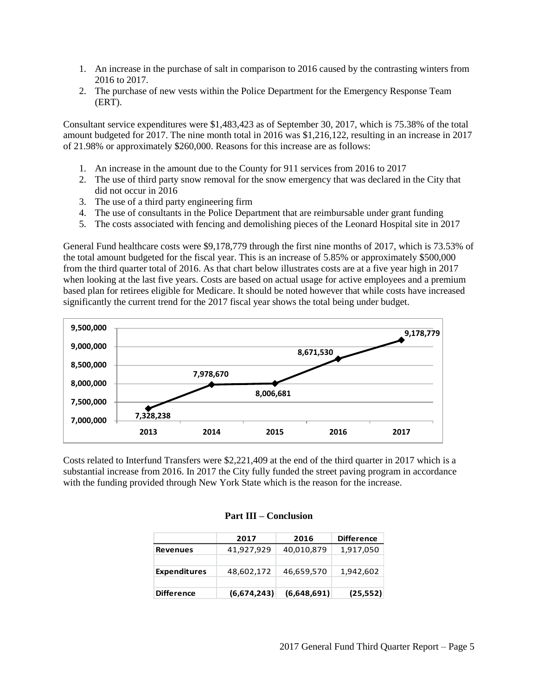- 1. An increase in the purchase of salt in comparison to 2016 caused by the contrasting winters from 2016 to 2017.
- 2. The purchase of new vests within the Police Department for the Emergency Response Team (ERT).

Consultant service expenditures were \$1,483,423 as of September 30, 2017, which is 75.38% of the total amount budgeted for 2017. The nine month total in 2016 was \$1,216,122, resulting in an increase in 2017 of 21.98% or approximately \$260,000. Reasons for this increase are as follows:

- 1. An increase in the amount due to the County for 911 services from 2016 to 2017
- 2. The use of third party snow removal for the snow emergency that was declared in the City that did not occur in 2016
- 3. The use of a third party engineering firm
- 4. The use of consultants in the Police Department that are reimbursable under grant funding
- 5. The costs associated with fencing and demolishing pieces of the Leonard Hospital site in 2017

General Fund healthcare costs were \$9,178,779 through the first nine months of 2017, which is 73.53% of the total amount budgeted for the fiscal year. This is an increase of 5.85% or approximately \$500,000 from the third quarter total of 2016. As that chart below illustrates costs are at a five year high in 2017 when looking at the last five years. Costs are based on actual usage for active employees and a premium based plan for retirees eligible for Medicare. It should be noted however that while costs have increased significantly the current trend for the 2017 fiscal year shows the total being under budget.



Costs related to Interfund Transfers were \$2,221,409 at the end of the third quarter in 2017 which is a substantial increase from 2016. In 2017 the City fully funded the street paving program in accordance with the funding provided through New York State which is the reason for the increase.

|                     | 2017        | 2016        | <b>Difference</b> |
|---------------------|-------------|-------------|-------------------|
| <b>Revenues</b>     | 41,927,929  | 40,010,879  | 1,917,050         |
|                     |             |             |                   |
| <b>Expenditures</b> | 48,602,172  | 46,659,570  | 1,942,602         |
|                     |             |             |                   |
| <b>Difference</b>   | (6,674,243) | (6,648,691) | (25, 552)         |

#### **Part III – Conclusion**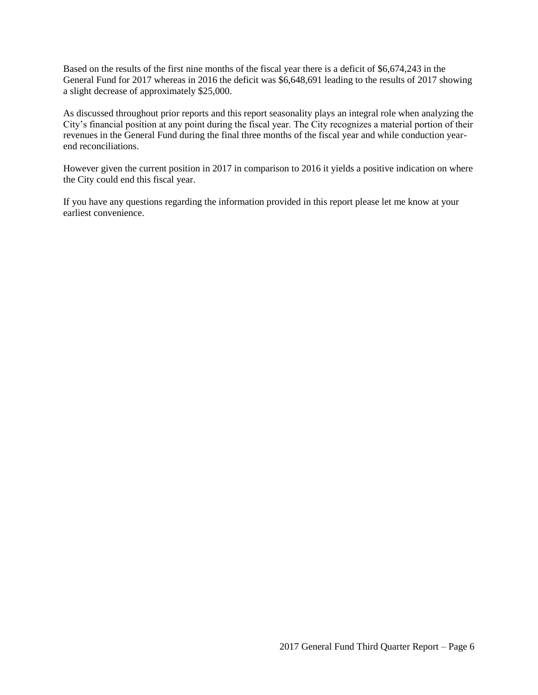Based on the results of the first nine months of the fiscal year there is a deficit of \$6,674,243 in the General Fund for 2017 whereas in 2016 the deficit was \$6,648,691 leading to the results of 2017 showing a slight decrease of approximately \$25,000.

As discussed throughout prior reports and this report seasonality plays an integral role when analyzing the City's financial position at any point during the fiscal year. The City recognizes a material portion of their revenues in the General Fund during the final three months of the fiscal year and while conduction yearend reconciliations.

However given the current position in 2017 in comparison to 2016 it yields a positive indication on where the City could end this fiscal year.

If you have any questions regarding the information provided in this report please let me know at your earliest convenience.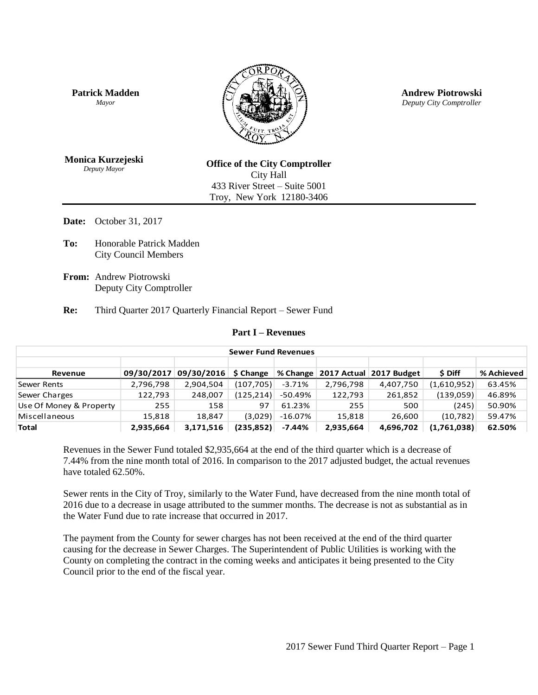**Patrick Madden** *Mayor*



**Andrew Piotrowski** *Deputy City Comptroller*

**Monica Kurzejeski** *Deputy Mayor*

**Office of the City Comptroller** City Hall 433 River Street – Suite 5001 Troy, New York 12180-3406

**Date:** October 31, 2017

**To:** Honorable Patrick Madden City Council Members

**From:** Andrew Piotrowski Deputy City Comptroller

**Re:** Third Quarter 2017 Quarterly Financial Report – Sewer Fund

#### **Part I – Revenues**

| <b>Sewer Fund Revenues</b> |            |                        |            |          |           |                                      |             |            |  |
|----------------------------|------------|------------------------|------------|----------|-----------|--------------------------------------|-------------|------------|--|
|                            |            |                        |            |          |           |                                      |             |            |  |
| Revenue                    | 09/30/2017 | $09/30/2016$ \$ Change |            |          |           | % Change   2017 Actual   2017 Budget | \$ Diff     | % Achieved |  |
| Sewer Rents                | 2,796,798  | 2,904,504              | (107, 705) | $-3.71%$ | 2,796,798 | 4,407,750                            | (1,610,952) | 63.45%     |  |
| Sewer Charges              | 122,793    | 248,007                | (125, 214) | -50.49%  | 122,793   | 261,852                              | (139,059)   | 46.89%     |  |
| Use Of Money & Property    | 255        | 158                    | 97         | 61.23%   | 255       | 500                                  | (245)       | 50.90%     |  |
| Miscellaneous              | 15,818     | 18.847                 | (3,029)    | -16.07%  | 15,818    | 26.600                               | (10,782)    | 59.47%     |  |
| <b>Total</b>               | 2.935.664  | 3,171,516              | (235, 852) | $-7.44%$ | 2,935,664 | 4.696.702                            | (1,761,038) | 62.50%     |  |

Revenues in the Sewer Fund totaled \$2,935,664 at the end of the third quarter which is a decrease of 7.44% from the nine month total of 2016. In comparison to the 2017 adjusted budget, the actual revenues have totaled 62.50%.

Sewer rents in the City of Troy, similarly to the Water Fund, have decreased from the nine month total of 2016 due to a decrease in usage attributed to the summer months. The decrease is not as substantial as in the Water Fund due to rate increase that occurred in 2017.

The payment from the County for sewer charges has not been received at the end of the third quarter causing for the decrease in Sewer Charges. The Superintendent of Public Utilities is working with the County on completing the contract in the coming weeks and anticipates it being presented to the City Council prior to the end of the fiscal year.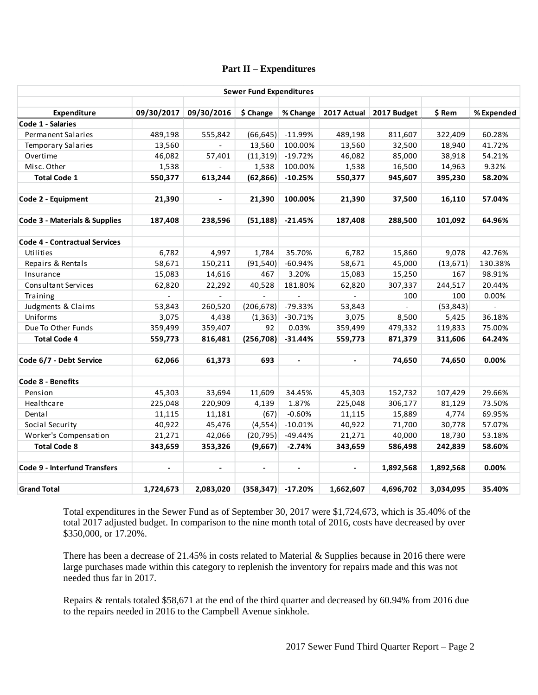### **Part II – Expenditures**

|                                      |                           |                       | <b>Sewer Fund Expenditures</b> |              |                |                         |           |            |
|--------------------------------------|---------------------------|-----------------------|--------------------------------|--------------|----------------|-------------------------|-----------|------------|
| Expenditure                          |                           | 09/30/2017 09/30/2016 | \$ Change                      | % Change     |                | 2017 Actual 2017 Budget | \$ Rem    | % Expended |
| Code 1 - Salaries                    |                           |                       |                                |              |                |                         |           |            |
| Permanent Salaries                   | 489,198                   | 555,842               | (66, 645)                      | $-11.99%$    | 489,198        | 811,607                 | 322,409   | 60.28%     |
| <b>Temporary Salaries</b>            | 13,560                    |                       | 13,560                         | 100.00%      | 13,560         | 32,500                  | 18,940    | 41.72%     |
| Overtime                             | 46,082                    | 57,401                | (11, 319)                      | $-19.72%$    | 46,082         | 85,000                  | 38,918    | 54.21%     |
| Misc. Other                          | 1,538                     | $\overline{a}$        | 1,538                          | 100.00%      | 1,538          | 16,500                  | 14,963    | 9.32%      |
| <b>Total Code 1</b>                  | 550,377                   | 613,244               | (62, 866)                      | $-10.25%$    | 550,377        | 945,607                 | 395,230   | 58.20%     |
| Code 2 - Equipment                   | 21,390                    | $\blacksquare$        | 21,390                         | 100.00%      | 21,390         | 37,500                  | 16,110    | 57.04%     |
| Code 3 - Materials & Supplies        | 187,408                   | 238,596               | (51, 188)                      | $-21.45%$    | 187,408        | 288,500                 | 101,092   | 64.96%     |
| <b>Code 4 - Contractual Services</b> |                           |                       |                                |              |                |                         |           |            |
| Utilities                            | 6,782                     | 4,997                 | 1,784                          | 35.70%       | 6,782          | 15,860                  | 9,078     | 42.76%     |
| Repairs & Rentals                    | 58,671                    | 150,211               | (91, 540)                      | $-60.94%$    | 58,671         | 45,000                  | (13, 671) | 130.38%    |
| Insurance                            | 15,083                    | 14,616                | 467                            | 3.20%        | 15,083         | 15,250                  | 167       | 98.91%     |
| <b>Consultant Services</b>           | 62,820                    | 22,292                | 40,528                         | 181.80%      | 62,820         | 307,337                 | 244,517   | 20.44%     |
| Training                             | $\mathbb{Z}^{\mathbb{Z}}$ | $\mathcal{L}^{\pm}$   | ÷.                             | $\mathbf{r}$ | $\mathbf{r}$   | 100                     | 100       | 0.00%      |
| Judgments & Claims                   | 53,843                    | 260,520               | (206, 678)                     | $-79.33%$    | 53,843         |                         | (53, 843) | $\omega$   |
| Uniforms                             | 3,075                     | 4,438                 | (1, 363)                       | $-30.71%$    | 3,075          | 8,500                   | 5,425     | 36.18%     |
| Due To Other Funds                   | 359,499                   | 359,407               | 92                             | 0.03%        | 359,499        | 479,332                 | 119,833   | 75.00%     |
| <b>Total Code 4</b>                  | 559,773                   | 816,481               | (256, 708)                     | $-31.44%$    | 559,773        | 871,379                 | 311,606   | 64.24%     |
| Code 6/7 - Debt Service              | 62,066                    | 61,373                | 693                            |              | $\blacksquare$ | 74,650                  | 74,650    | 0.00%      |
| Code 8 - Benefits                    |                           |                       |                                |              |                |                         |           |            |
| Pension                              | 45,303                    | 33,694                | 11,609                         | 34.45%       | 45,303         | 152,732                 | 107,429   | 29.66%     |
| Healthcare                           | 225,048                   | 220,909               | 4,139                          | 1.87%        | 225,048        | 306,177                 | 81,129    | 73.50%     |
| Dental                               | 11,115                    | 11,181                | (67)                           | $-0.60%$     | 11,115         | 15,889                  | 4,774     | 69.95%     |
| Social Security                      | 40,922                    | 45,476                | (4, 554)                       | $-10.01%$    | 40,922         | 71,700                  | 30,778    | 57.07%     |
| Worker's Compensation                | 21,271                    | 42,066                | (20, 795)                      | $-49.44%$    | 21,271         | 40,000                  | 18,730    | 53.18%     |
| <b>Total Code 8</b>                  | 343,659                   | 353,326               | (9,667)                        | $-2.74%$     | 343,659        | 586,498                 | 242,839   | 58.60%     |
| <b>Code 9 - Interfund Transfers</b>  |                           | $\blacksquare$        | $\blacksquare$                 |              | $\blacksquare$ | 1,892,568               | 1,892,568 | 0.00%      |
| <b>Grand Total</b>                   | 1,724,673                 | 2,083,020             | (358, 347)                     | $-17.20%$    | 1,662,607      | 4,696,702               | 3,034,095 | 35.40%     |

Total expenditures in the Sewer Fund as of September 30, 2017 were \$1,724,673, which is 35.40% of the total 2017 adjusted budget. In comparison to the nine month total of 2016, costs have decreased by over \$350,000, or 17.20%.

There has been a decrease of 21.45% in costs related to Material & Supplies because in 2016 there were large purchases made within this category to replenish the inventory for repairs made and this was not needed thus far in 2017.

Repairs & rentals totaled \$58,671 at the end of the third quarter and decreased by 60.94% from 2016 due to the repairs needed in 2016 to the Campbell Avenue sinkhole.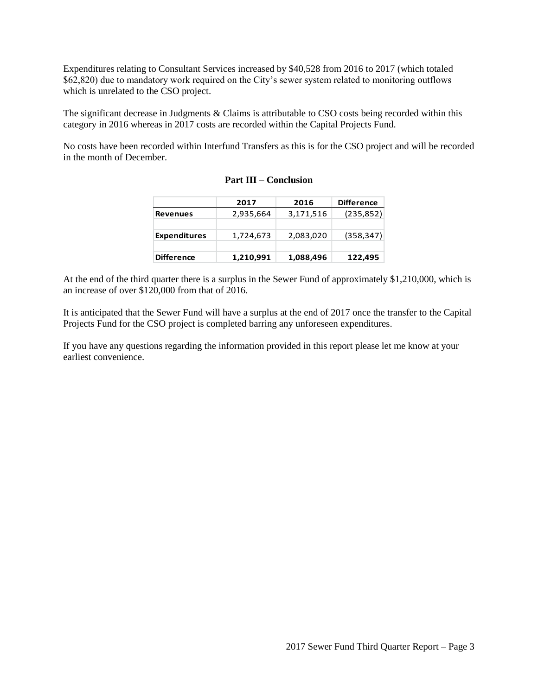Expenditures relating to Consultant Services increased by \$40,528 from 2016 to 2017 (which totaled \$62,820) due to mandatory work required on the City's sewer system related to monitoring outflows which is unrelated to the CSO project.

The significant decrease in Judgments & Claims is attributable to CSO costs being recorded within this category in 2016 whereas in 2017 costs are recorded within the Capital Projects Fund.

No costs have been recorded within Interfund Transfers as this is for the CSO project and will be recorded in the month of December.

|                     | 2017      | 2016      | <b>Difference</b> |
|---------------------|-----------|-----------|-------------------|
| <b>Revenues</b>     | 2,935,664 | 3,171,516 | (235, 852)        |
| <b>Expenditures</b> | 1,724,673 | 2,083,020 | (358, 347)        |
| <b>Difference</b>   | 1,210,991 | 1,088,496 | 122,495           |

| <b>Part III – Conclusion</b> |
|------------------------------|
|------------------------------|

At the end of the third quarter there is a surplus in the Sewer Fund of approximately \$1,210,000, which is an increase of over \$120,000 from that of 2016.

It is anticipated that the Sewer Fund will have a surplus at the end of 2017 once the transfer to the Capital Projects Fund for the CSO project is completed barring any unforeseen expenditures.

If you have any questions regarding the information provided in this report please let me know at your earliest convenience.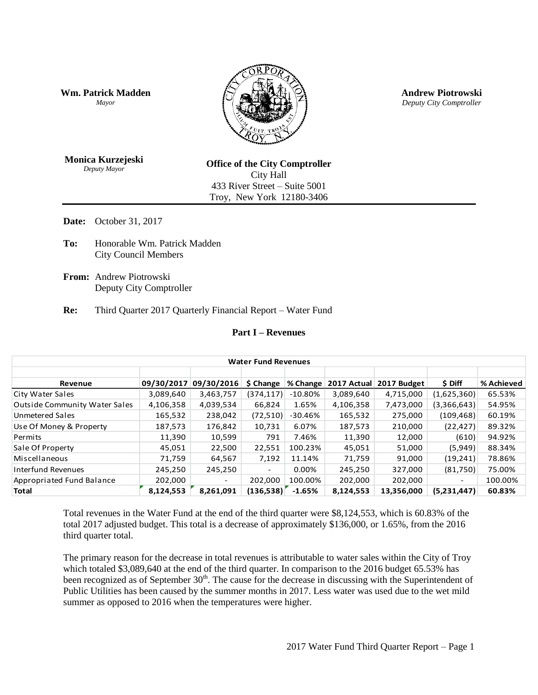**Wm. Patrick Madden** *Mayor*



**Andrew Piotrowski** *Deputy City Comptroller*

**Monica Kurzejeski** *Deputy Mayor*

**Office of the City Comptroller** City Hall 433 River Street – Suite 5001 Troy, New York 12180-3406

**Date:** October 31, 2017

- **To:** Honorable Wm. Patrick Madden City Council Members
- **From:** Andrew Piotrowski Deputy City Comptroller

**Re:** Third Quarter 2017 Quarterly Financial Report – Water Fund

## **Part I – Revenues**

| <b>Water Fund Revenues</b>           |            |                          |                          |            |             |             |             |            |
|--------------------------------------|------------|--------------------------|--------------------------|------------|-------------|-------------|-------------|------------|
| Revenue                              | 09/30/2017 | 09/30/2016               | \$ Change                | ∣% Change  | 2017 Actual | 2017 Budget | \$ Diff     | % Achieved |
| City Water Sales                     | 3,089,640  | 3,463,757                | (374, 117)               | $-10.80\%$ | 3,089,640   | 4,715,000   | (1,625,360) | 65.53%     |
| <b>Outside Community Water Sales</b> | 4,106,358  | 4,039,534                | 66,824                   | 1.65%      | 4,106,358   | 7,473,000   | (3,366,643) | 54.95%     |
| <b>Unmetered Sales</b>               | 165,532    | 238,042                  | (72, 510)                | $-30.46%$  | 165,532     | 275,000     | (109, 468)  | 60.19%     |
| Use Of Money & Property              | 187,573    | 176,842                  | 10,731                   | 6.07%      | 187,573     | 210,000     | (22, 427)   | 89.32%     |
| Permits                              | 11,390     | 10,599                   | 791                      | 7.46%      | 11,390      | 12,000      | (610)       | 94.92%     |
| Sale Of Property                     | 45,051     | 22,500                   | 22,551                   | 100.23%    | 45,051      | 51,000      | (5,949)     | 88.34%     |
| Miscellaneous                        | 71,759     | 64,567                   | 7,192                    | 11.14%     | 71,759      | 91,000      | (19, 241)   | 78.86%     |
| Interfund Revenues                   | 245,250    | 245,250                  | $\overline{\phantom{a}}$ | 0.00%      | 245,250     | 327,000     | (81,750)    | 75.00%     |
| Appropriated Fund Balance            | 202,000    | $\overline{\phantom{0}}$ | 202,000                  | 100.00%    | 202,000     | 202,000     | -           | 100.00%    |
| <b>Total</b>                         | 8.124.553  | 8.261.091                | (136.538)                | $-1.65%$   | 8,124,553   | 13,356,000  | (5,231,447) | 60.83%     |

Total revenues in the Water Fund at the end of the third quarter were \$8,124,553, which is 60.83% of the total 2017 adjusted budget. This total is a decrease of approximately \$136,000, or 1.65%, from the 2016 third quarter total.

The primary reason for the decrease in total revenues is attributable to water sales within the City of Troy which totaled \$3,089,640 at the end of the third quarter. In comparison to the 2016 budget 65.53% has been recognized as of September 30<sup>th</sup>. The cause for the decrease in discussing with the Superintendent of Public Utilities has been caused by the summer months in 2017. Less water was used due to the wet mild summer as opposed to 2016 when the temperatures were higher.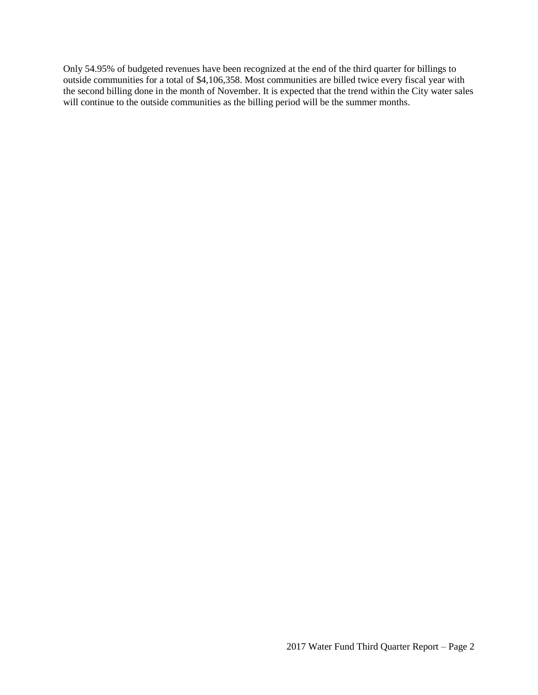Only 54.95% of budgeted revenues have been recognized at the end of the third quarter for billings to outside communities for a total of \$4,106,358. Most communities are billed twice every fiscal year with the second billing done in the month of November. It is expected that the trend within the City water sales will continue to the outside communities as the billing period will be the summer months.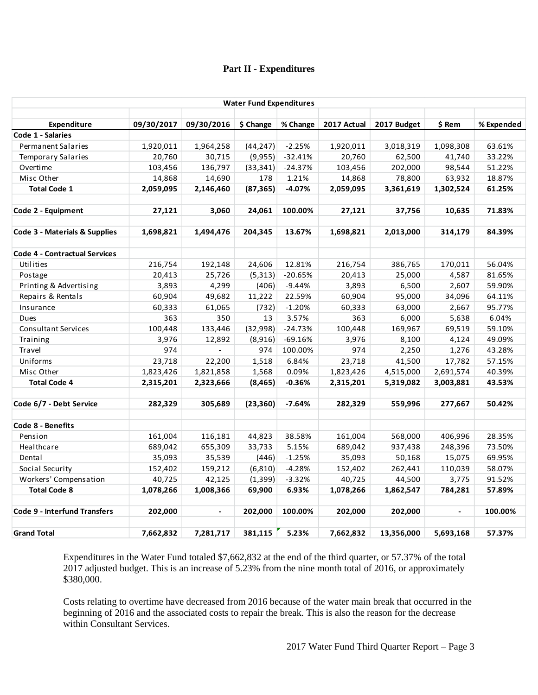## **Part II - Expenditures**

| <b>Water Fund Expenditures</b>       |            |                |           |           |             |             |                |            |
|--------------------------------------|------------|----------------|-----------|-----------|-------------|-------------|----------------|------------|
| <b>Expenditure</b>                   | 09/30/2017 | 09/30/2016     | \$ Change | % Change  | 2017 Actual | 2017 Budget | \$ Rem         | % Expended |
| Code 1 - Salaries                    |            |                |           |           |             |             |                |            |
| Permanent Salaries                   | 1,920,011  | 1,964,258      | (44, 247) | $-2.25%$  | 1,920,011   | 3,018,319   | 1,098,308      | 63.61%     |
| <b>Temporary Salaries</b>            | 20,760     | 30,715         | (9,955)   | $-32.41%$ | 20,760      | 62,500      | 41,740         | 33.22%     |
| Overtime                             | 103,456    | 136,797        | (33, 341) | $-24.37%$ | 103,456     | 202,000     | 98,544         | 51.22%     |
| Misc Other                           | 14,868     | 14,690         | 178       | 1.21%     | 14,868      | 78,800      | 63,932         | 18.87%     |
| <b>Total Code 1</b>                  | 2,059,095  | 2,146,460      | (87, 365) | $-4.07%$  | 2,059,095   | 3,361,619   | 1,302,524      | 61.25%     |
|                                      |            |                |           |           |             |             |                |            |
| Code 2 - Equipment                   | 27,121     | 3,060          | 24,061    | 100.00%   | 27,121      | 37,756      | 10,635         | 71.83%     |
| Code 3 - Materials & Supplies        | 1,698,821  | 1,494,476      | 204,345   | 13.67%    | 1,698,821   | 2,013,000   | 314,179        | 84.39%     |
|                                      |            |                |           |           |             |             |                |            |
| <b>Code 4 - Contractual Services</b> |            |                |           |           |             |             |                |            |
| Utilities                            | 216,754    | 192,148        | 24,606    | 12.81%    | 216,754     | 386,765     | 170,011        | 56.04%     |
| Postage                              | 20,413     | 25,726         | (5, 313)  | $-20.65%$ | 20,413      | 25,000      | 4,587          | 81.65%     |
| Printing & Advertising               | 3,893      | 4,299          | (406)     | $-9.44%$  | 3,893       | 6,500       | 2,607          | 59.90%     |
| Repairs & Rentals                    | 60,904     | 49,682         | 11,222    | 22.59%    | 60,904      | 95,000      | 34,096         | 64.11%     |
| Insurance                            | 60,333     | 61,065         | (732)     | $-1.20%$  | 60,333      | 63,000      | 2,667          | 95.77%     |
| Dues                                 | 363        | 350            | 13        | 3.57%     | 363         | 6,000       | 5,638          | 6.04%      |
| Consultant Services                  | 100,448    | 133,446        | (32,998)  | $-24.73%$ | 100,448     | 169,967     | 69,519         | 59.10%     |
| Training                             | 3,976      | 12,892         | (8,916)   | $-69.16%$ | 3,976       | 8,100       | 4,124          | 49.09%     |
| Travel                               | 974        | $\blacksquare$ | 974       | 100.00%   | 974         | 2,250       | 1,276          | 43.28%     |
| Uniforms                             | 23,718     | 22,200         | 1,518     | 6.84%     | 23,718      | 41,500      | 17,782         | 57.15%     |
| Misc Other                           | 1,823,426  | 1,821,858      | 1,568     | 0.09%     | 1,823,426   | 4,515,000   | 2,691,574      | 40.39%     |
| <b>Total Code 4</b>                  | 2,315,201  | 2,323,666      | (8, 465)  | $-0.36%$  | 2,315,201   | 5,319,082   | 3,003,881      | 43.53%     |
| Code 6/7 - Debt Service              | 282,329    | 305,689        | (23, 360) | $-7.64%$  | 282,329     | 559,996     | 277,667        | 50.42%     |
| Code 8 - Benefits                    |            |                |           |           |             |             |                |            |
| Pension                              | 161,004    | 116,181        | 44,823    | 38.58%    | 161,004     | 568,000     | 406,996        | 28.35%     |
| Healthcare                           | 689,042    | 655,309        | 33,733    | 5.15%     | 689,042     | 937,438     | 248,396        | 73.50%     |
| Dental                               | 35,093     | 35,539         | (446)     | $-1.25%$  | 35,093      | 50,168      | 15,075         | 69.95%     |
| Social Security                      | 152,402    | 159,212        | (6, 810)  | $-4.28%$  | 152,402     | 262,441     | 110,039        | 58.07%     |
| Workers' Compensation                | 40,725     | 42,125         | (1, 399)  | $-3.32%$  | 40,725      | 44,500      | 3,775          | 91.52%     |
| <b>Total Code 8</b>                  | 1,078,266  | 1,008,366      | 69,900    | 6.93%     | 1,078,266   | 1,862,547   | 784,281        | 57.89%     |
|                                      |            |                |           |           |             |             |                |            |
| <b>Code 9 - Interfund Transfers</b>  | 202,000    | $\frac{1}{2}$  | 202,000   | 100.00%   | 202,000     | 202,000     | $\blacksquare$ | 100.00%    |
| <b>Grand Total</b>                   | 7,662,832  | 7,281,717      | 381,115   | 5.23%     | 7,662,832   | 13,356,000  | 5,693,168      | 57.37%     |

Expenditures in the Water Fund totaled \$7,662,832 at the end of the third quarter, or 57.37% of the total 2017 adjusted budget. This is an increase of 5.23% from the nine month total of 2016, or approximately \$380,000.

Costs relating to overtime have decreased from 2016 because of the water main break that occurred in the beginning of 2016 and the associated costs to repair the break. This is also the reason for the decrease within Consultant Services.